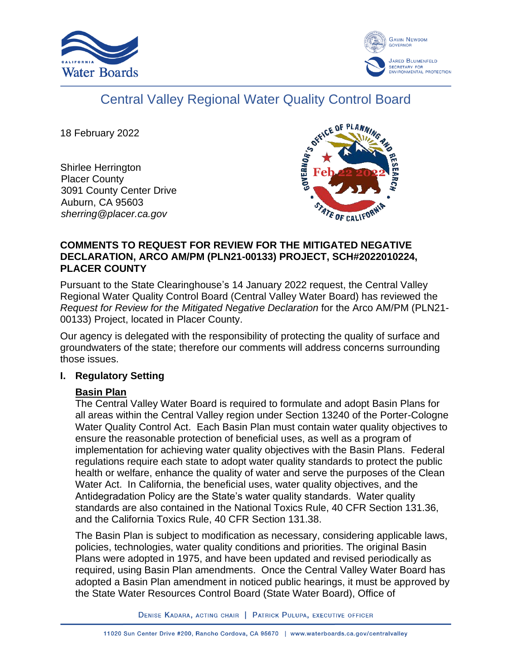



# Central Valley Regional Water Quality Control Board

18 February 2022

Shirlee Herrington Placer County 3091 County Center Drive Auburn, CA 95603 *sherring@placer.ca.gov*



#### **COMMENTS TO REQUEST FOR REVIEW FOR THE MITIGATED NEGATIVE DECLARATION, ARCO AM/PM (PLN21-00133) PROJECT, SCH#2022010224, PLACER COUNTY**

Pursuant to the State Clearinghouse's 14 January 2022 request, the Central Valley Regional Water Quality Control Board (Central Valley Water Board) has reviewed the *Request for Review for the Mitigated Negative Declaration* for the Arco AM/PM (PLN21- 00133) Project, located in Placer County.

Our agency is delegated with the responsibility of protecting the quality of surface and groundwaters of the state; therefore our comments will address concerns surrounding those issues.

# **I. Regulatory Setting**

# **Basin Plan**

The Central Valley Water Board is required to formulate and adopt Basin Plans for all areas within the Central Valley region under Section 13240 of the Porter-Cologne Water Quality Control Act. Each Basin Plan must contain water quality objectives to ensure the reasonable protection of beneficial uses, as well as a program of implementation for achieving water quality objectives with the Basin Plans. Federal regulations require each state to adopt water quality standards to protect the public health or welfare, enhance the quality of water and serve the purposes of the Clean Water Act. In California, the beneficial uses, water quality objectives, and the Antidegradation Policy are the State's water quality standards. Water quality standards are also contained in the National Toxics Rule, 40 CFR Section 131.36, and the California Toxics Rule, 40 CFR Section 131.38.

The Basin Plan is subject to modification as necessary, considering applicable laws, policies, technologies, water quality conditions and priorities. The original Basin Plans were adopted in 1975, and have been updated and revised periodically as required, using Basin Plan amendments. Once the Central Valley Water Board has adopted a Basin Plan amendment in noticed public hearings, it must be approved by the State Water Resources Control Board (State Water Board), Office of

DENISE KADARA, ACTING CHAIR | PATRICK PULUPA, EXECUTIVE OFFICER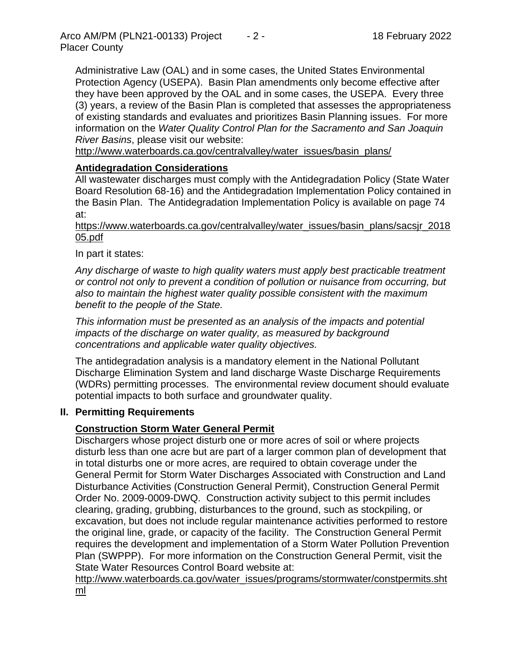Administrative Law (OAL) and in some cases, the United States Environmental Protection Agency (USEPA). Basin Plan amendments only become effective after they have been approved by the OAL and in some cases, the USEPA. Every three (3) years, a review of the Basin Plan is completed that assesses the appropriateness of existing standards and evaluates and prioritizes Basin Planning issues. For more information on the *Water Quality Control Plan for the Sacramento and San Joaquin River Basins*, please visit our website:

[http://www.waterboards.ca.gov/centralvalley/water\\_issues/basin\\_plans/](http://www.waterboards.ca.gov/centralvalley/water_issues/basin_plans/)

#### **Antidegradation Considerations**

All wastewater discharges must comply with the Antidegradation Policy (State Water Board Resolution 68-16) and the Antidegradation Implementation Policy contained in the Basin Plan. The Antidegradation Implementation Policy is available on page 74 at:

https://www.waterboards.ca.gov/centralvalley/water\_issues/basin\_plans/sacsjr\_2018 05.pdf

In part it states:

*Any discharge of waste to high quality waters must apply best practicable treatment or control not only to prevent a condition of pollution or nuisance from occurring, but also to maintain the highest water quality possible consistent with the maximum benefit to the people of the State.*

*This information must be presented as an analysis of the impacts and potential impacts of the discharge on water quality, as measured by background concentrations and applicable water quality objectives.*

The antidegradation analysis is a mandatory element in the National Pollutant Discharge Elimination System and land discharge Waste Discharge Requirements (WDRs) permitting processes. The environmental review document should evaluate potential impacts to both surface and groundwater quality.

#### **II. Permitting Requirements**

#### **Construction Storm Water General Permit**

Dischargers whose project disturb one or more acres of soil or where projects disturb less than one acre but are part of a larger common plan of development that in total disturbs one or more acres, are required to obtain coverage under the General Permit for Storm Water Discharges Associated with Construction and Land Disturbance Activities (Construction General Permit), Construction General Permit Order No. 2009-0009-DWQ. Construction activity subject to this permit includes clearing, grading, grubbing, disturbances to the ground, such as stockpiling, or excavation, but does not include regular maintenance activities performed to restore the original line, grade, or capacity of the facility. The Construction General Permit requires the development and implementation of a Storm Water Pollution Prevention Plan (SWPPP). For more information on the Construction General Permit, visit the State Water Resources Control Board website at:

[http://www.waterboards.ca.gov/water\\_issues/programs/stormwater/constpermits.sht](http://www.waterboards.ca.gov/water_issues/programs/stormwater/constpermits.shtml) [ml](http://www.waterboards.ca.gov/water_issues/programs/stormwater/constpermits.shtml)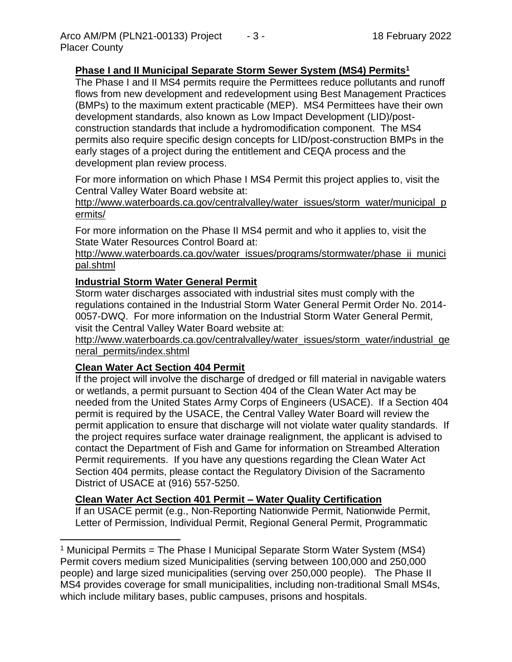# **Phase I and II Municipal Separate Storm Sewer System (MS4) Permits<sup>1</sup>**

The Phase I and II MS4 permits require the Permittees reduce pollutants and runoff flows from new development and redevelopment using Best Management Practices (BMPs) to the maximum extent practicable (MEP). MS4 Permittees have their own development standards, also known as Low Impact Development (LID)/postconstruction standards that include a hydromodification component. The MS4 permits also require specific design concepts for LID/post-construction BMPs in the early stages of a project during the entitlement and CEQA process and the development plan review process.

For more information on which Phase I MS4 Permit this project applies to, visit the Central Valley Water Board website at:

http://www.waterboards.ca.gov/centralvalley/water\_issues/storm\_water/municipal\_p ermits/

For more information on the Phase II MS4 permit and who it applies to, visit the State Water Resources Control Board at:

http://www.waterboards.ca.gov/water\_issues/programs/stormwater/phase\_ii\_munici pal.shtml

# **Industrial Storm Water General Permit**

Storm water discharges associated with industrial sites must comply with the regulations contained in the Industrial Storm Water General Permit Order No. 2014- 0057-DWQ. For more information on the Industrial Storm Water General Permit, visit the Central Valley Water Board website at:

http://www.waterboards.ca.gov/centralvalley/water\_issues/storm\_water/industrial\_ge neral\_permits/index.shtml

# **Clean Water Act Section 404 Permit**

If the project will involve the discharge of dredged or fill material in navigable waters or wetlands, a permit pursuant to Section 404 of the Clean Water Act may be needed from the United States Army Corps of Engineers (USACE). If a Section 404 permit is required by the USACE, the Central Valley Water Board will review the permit application to ensure that discharge will not violate water quality standards. If the project requires surface water drainage realignment, the applicant is advised to contact the Department of Fish and Game for information on Streambed Alteration Permit requirements. If you have any questions regarding the Clean Water Act Section 404 permits, please contact the Regulatory Division of the Sacramento District of USACE at (916) 557-5250.

# **Clean Water Act Section 401 Permit – Water Quality Certification**

If an USACE permit (e.g., Non-Reporting Nationwide Permit, Nationwide Permit, Letter of Permission, Individual Permit, Regional General Permit, Programmatic

<sup>&</sup>lt;sup>1</sup> Municipal Permits = The Phase I Municipal Separate Storm Water System (MS4) Permit covers medium sized Municipalities (serving between 100,000 and 250,000 people) and large sized municipalities (serving over 250,000 people). The Phase II MS4 provides coverage for small municipalities, including non-traditional Small MS4s, which include military bases, public campuses, prisons and hospitals.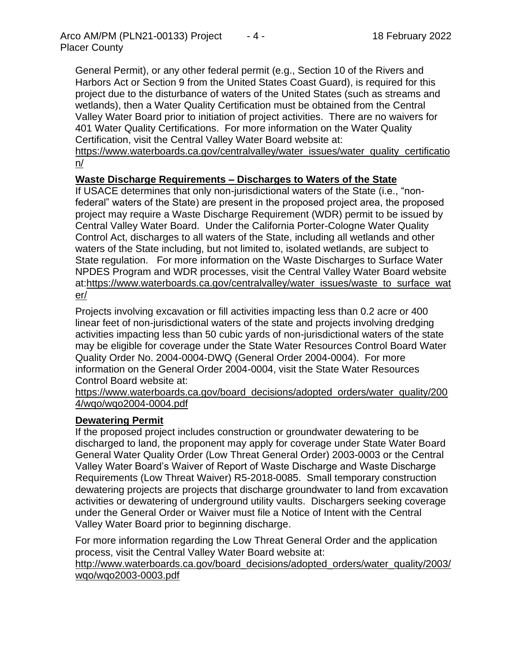General Permit), or any other federal permit (e.g., Section 10 of the Rivers and Harbors Act or Section 9 from the United States Coast Guard), is required for this project due to the disturbance of waters of the United States (such as streams and wetlands), then a Water Quality Certification must be obtained from the Central Valley Water Board prior to initiation of project activities. There are no waivers for 401 Water Quality Certifications. For more information on the Water Quality Certification, visit the Central Valley Water Board website at:

https://www.waterboards.ca.gov/centralvalley/water\_issues/water\_quality\_certificatio n/

#### **Waste Discharge Requirements – Discharges to Waters of the State**

If USACE determines that only non-jurisdictional waters of the State (i.e., "nonfederal" waters of the State) are present in the proposed project area, the proposed project may require a Waste Discharge Requirement (WDR) permit to be issued by Central Valley Water Board. Under the California Porter-Cologne Water Quality Control Act, discharges to all waters of the State, including all wetlands and other waters of the State including, but not limited to, isolated wetlands, are subject to State regulation. For more information on the Waste Discharges to Surface Water NPDES Program and WDR processes, visit the Central Valley Water Board website at:https://www.waterboards.ca.gov/centralvalley/water\_issues/waste\_to\_surface\_wat er/

Projects involving excavation or fill activities impacting less than 0.2 acre or 400 linear feet of non-jurisdictional waters of the state and projects involving dredging activities impacting less than 50 cubic yards of non-jurisdictional waters of the state may be eligible for coverage under the State Water Resources Control Board Water Quality Order No. 2004-0004-DWQ (General Order 2004-0004). For more information on the General Order 2004-0004, visit the State Water Resources Control Board website at:

https://www.waterboards.ca.gov/board\_decisions/adopted\_orders/water\_quality/200 4/wqo/wqo2004-0004.pdf

#### **Dewatering Permit**

If the proposed project includes construction or groundwater dewatering to be discharged to land, the proponent may apply for coverage under State Water Board General Water Quality Order (Low Threat General Order) 2003-0003 or the Central Valley Water Board's Waiver of Report of Waste Discharge and Waste Discharge Requirements (Low Threat Waiver) R5-2018-0085. Small temporary construction dewatering projects are projects that discharge groundwater to land from excavation activities or dewatering of underground utility vaults. Dischargers seeking coverage under the General Order or Waiver must file a Notice of Intent with the Central Valley Water Board prior to beginning discharge.

For more information regarding the Low Threat General Order and the application process, visit the Central Valley Water Board website at:

http://www.waterboards.ca.gov/board decisions/adopted orders/water quality/2003/ wqo/wqo2003-0003.pdf